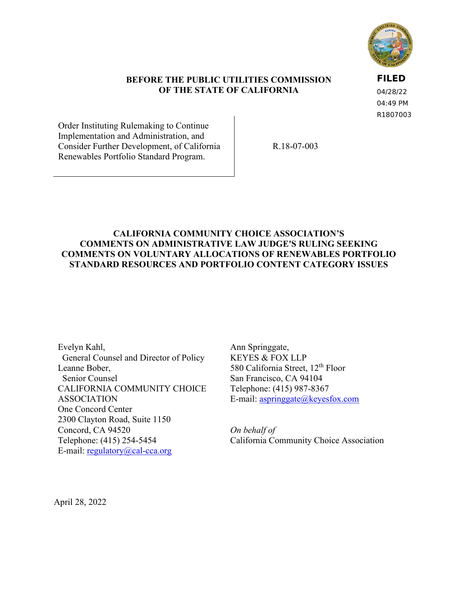

#### **BEFORE THE PUBLIC UTILITIES COMMISSION OF THE STATE OF CALIFORNIA**

**FILED**

04/28/22 04:49 PM R1807003

Order Instituting Rulemaking to Continue Implementation and Administration, and Consider Further Development, of California Renewables Portfolio Standard Program.

R.18-07-003

### **CALIFORNIA COMMUNITY CHOICE ASSOCIATION'S COMMENTS ON ADMINISTRATIVE LAW JUDGE'S RULING SEEKING COMMENTS ON VOLUNTARY ALLOCATIONS OF RENEWABLES PORTFOLIO STANDARD RESOURCES AND PORTFOLIO CONTENT CATEGORY ISSUES**

Evelyn Kahl, General Counsel and Director of Policy Leanne Bober, Senior Counsel CALIFORNIA COMMUNITY CHOICE ASSOCIATION One Concord Center 2300 Clayton Road, Suite 1150 Concord, CA 94520 Telephone: (415) 254-5454 E-mail: [regulatory@cal-cca.org](mailto:regulatory@cal-cca.org)

Ann Springgate, KEYES & FOX LLP 580 California Street, 12<sup>th</sup> Floor San Francisco, CA 94104 Telephone: (415) 987-8367 E-mail: [aspringgate@keyesfox.com](mailto:regulatory@cal-cca.org)

*On behalf of*  California Community Choice Association

April 28, 2022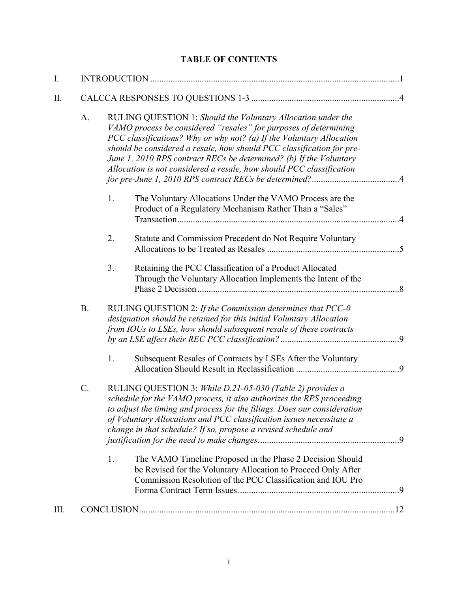|  | <b>TABLE OF CONTENTS</b> |
|--|--------------------------|
|--|--------------------------|

| I.        |  |                                                                                                                                                                                                                                                                                                                                                                                                                                 |  |  |
|-----------|--|---------------------------------------------------------------------------------------------------------------------------------------------------------------------------------------------------------------------------------------------------------------------------------------------------------------------------------------------------------------------------------------------------------------------------------|--|--|
| Π.        |  |                                                                                                                                                                                                                                                                                                                                                                                                                                 |  |  |
| A.        |  | RULING QUESTION 1: Should the Voluntary Allocation under the<br>VAMO process be considered "resales" for purposes of determining<br>PCC classifications? Why or why not? (a) If the Voluntary Allocation<br>should be considered a resale, how should PCC classification for pre-<br>June 1, 2010 RPS contract RECs be determined? (b) If the Voluntary<br>Allocation is not considered a resale, how should PCC classification |  |  |
|           |  | The Voluntary Allocations Under the VAMO Process are the<br>1.<br>Product of a Regulatory Mechanism Rather Than a "Sales"                                                                                                                                                                                                                                                                                                       |  |  |
|           |  | Statute and Commission Precedent do Not Require Voluntary<br>2.                                                                                                                                                                                                                                                                                                                                                                 |  |  |
|           |  | Retaining the PCC Classification of a Product Allocated<br>3.<br>Through the Voluntary Allocation Implements the Intent of the                                                                                                                                                                                                                                                                                                  |  |  |
| <b>B.</b> |  | RULING QUESTION 2: If the Commission determines that PCC-0<br>designation should be retained for this initial Voluntary Allocation<br>from IOUs to LSEs, how should subsequent resale of these contracts                                                                                                                                                                                                                        |  |  |
|           |  | Subsequent Resales of Contracts by LSEs After the Voluntary<br>1.                                                                                                                                                                                                                                                                                                                                                               |  |  |
| C.        |  | RULING QUESTION 3: While D.21-05-030 (Table 2) provides a<br>schedule for the VAMO process, it also authorizes the RPS proceeding<br>to adjust the timing and process for the filings. Does our consideration<br>of Voluntary Allocations and PCC classification issues necessitate a<br>change in that schedule? If so, propose a revised schedule and                                                                         |  |  |
|           |  | The VAMO Timeline Proposed in the Phase 2 Decision Should<br>1.<br>be Revised for the Voluntary Allocation to Proceed Only After<br>Commission Resolution of the PCC Classification and IOU Pro                                                                                                                                                                                                                                 |  |  |
| III.      |  |                                                                                                                                                                                                                                                                                                                                                                                                                                 |  |  |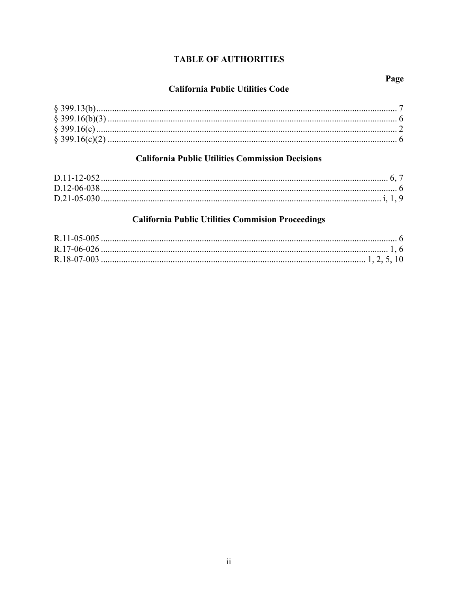# **TABLE OF AUTHORITIES**

# **California Public Utilities Code**

# **California Public Utilities Commission Decisions**

# **California Public Utilities Commision Proceedings**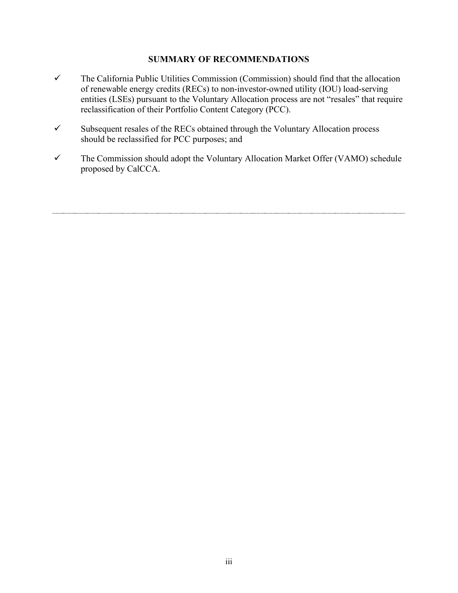#### **SUMMARY OF RECOMMENDATIONS**

- $\checkmark$  The California Public Utilities Commission (Commission) should find that the allocation of renewable energy credits (RECs) to non-investor-owned utility (IOU) load-serving entities (LSEs) pursuant to the Voluntary Allocation process are not "resales" that require reclassification of their Portfolio Content Category (PCC).
- $\checkmark$  Subsequent resales of the RECs obtained through the Voluntary Allocation process should be reclassified for PCC purposes; and
- The Commission should adopt the Voluntary Allocation Market Offer (VAMO) schedule proposed by CalCCA.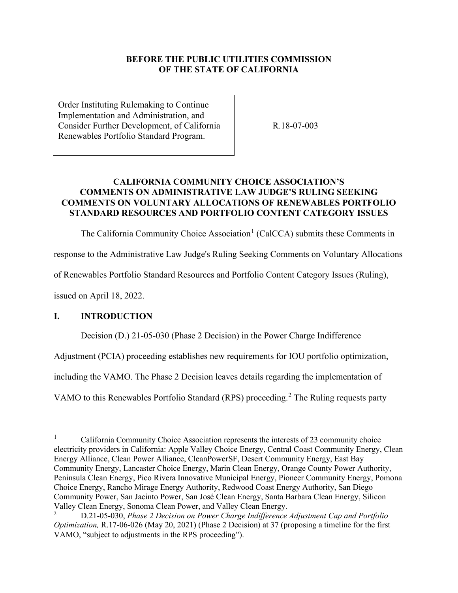### **BEFORE THE PUBLIC UTILITIES COMMISSION OF THE STATE OF CALIFORNIA**

Order Instituting Rulemaking to Continue Implementation and Administration, and Consider Further Development, of California Renewables Portfolio Standard Program.

R.18-07-003

### **CALIFORNIA COMMUNITY CHOICE ASSOCIATION'S COMMENTS ON ADMINISTRATIVE LAW JUDGE'S RULING SEEKING COMMENTS ON VOLUNTARY ALLOCATIONS OF RENEWABLES PORTFOLIO STANDARD RESOURCES AND PORTFOLIO CONTENT CATEGORY ISSUES**

The California Community Choice Association<sup>[1](#page-4-1)</sup> (CalCCA) submits these Comments in

response to the Administrative Law Judge's Ruling Seeking Comments on Voluntary Allocations

of Renewables Portfolio Standard Resources and Portfolio Content Category Issues (Ruling),

issued on April 18, 2022.

#### <span id="page-4-0"></span>**I. INTRODUCTION**

Decision (D.) 21-05-030 (Phase 2 Decision) in the Power Charge Indifference

Adjustment (PCIA) proceeding establishes new requirements for IOU portfolio optimization,

including the VAMO. The Phase 2 Decision leaves details regarding the implementation of

VAMO to this Renewables Portfolio Standard (RPS) proceeding.<sup>[2](#page-4-2)</sup> The Ruling requests party

<span id="page-4-1"></span><sup>1</sup> California Community Choice Association represents the interests of 23 community choice electricity providers in California: Apple Valley Choice Energy, Central Coast Community Energy, Clean Energy Alliance, Clean Power Alliance, CleanPowerSF, Desert Community Energy, East Bay Community Energy, Lancaster Choice Energy, Marin Clean Energy, Orange County Power Authority, Peninsula Clean Energy, Pico Rivera Innovative Municipal Energy, Pioneer Community Energy, Pomona Choice Energy, Rancho Mirage Energy Authority, Redwood Coast Energy Authority, San Diego Community Power, San Jacinto Power, San José Clean Energy, Santa Barbara Clean Energy, Silicon Valley Clean Energy, Sonoma Clean Power, and Valley Clean Energy.

<span id="page-4-2"></span><sup>2</sup> D.21-05-030, *Phase 2 Decision on Power Charge Indifference Adjustment Cap and Portfolio Optimization,* R.17-06-026 (May 20, 2021) (Phase 2 Decision) at 37 (proposing a timeline for the first VAMO, "subject to adjustments in the RPS proceeding").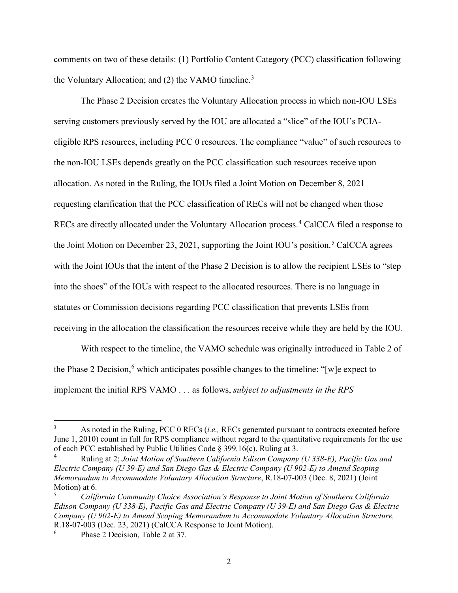comments on two of these details: (1) Portfolio Content Category (PCC) classification following the Voluntary Allocation; and  $(2)$  the VAMO timeline.<sup>[3](#page-5-0)</sup>

The Phase 2 Decision creates the Voluntary Allocation process in which non-IOU LSEs serving customers previously served by the IOU are allocated a "slice" of the IOU's PCIAeligible RPS resources, including PCC 0 resources. The compliance "value" of such resources to the non-IOU LSEs depends greatly on the PCC classification such resources receive upon allocation. As noted in the Ruling, the IOUs filed a Joint Motion on December 8, 2021 requesting clarification that the PCC classification of RECs will not be changed when those RECs are directly allocated under the Voluntary Allocation process.<sup>[4](#page-5-1)</sup> CalCCA filed a response to the Joint Motion on December 23, 2021, supporting the Joint IOU's position.<sup>[5](#page-5-2)</sup> CalCCA agrees with the Joint IOUs that the intent of the Phase 2 Decision is to allow the recipient LSEs to "step into the shoes" of the IOUs with respect to the allocated resources. There is no language in statutes or Commission decisions regarding PCC classification that prevents LSEs from receiving in the allocation the classification the resources receive while they are held by the IOU.

With respect to the timeline, the VAMO schedule was originally introduced in Table 2 of the Phase 2 Decision,<sup>[6](#page-5-3)</sup> which anticipates possible changes to the timeline: "[w]e expect to implement the initial RPS VAMO . . . as follows, *subject to adjustments in the RPS* 

<span id="page-5-0"></span><sup>3</sup> As noted in the Ruling, PCC 0 RECs (*i.e.,* RECs generated pursuant to contracts executed before June 1, 2010) count in full for RPS compliance without regard to the quantitative requirements for the use of each PCC established by Public Utilities Code § 399.16(c). Ruling at 3.

<span id="page-5-1"></span><sup>4</sup> Ruling at 2; *Joint Motion of Southern California Edison Company (U 338-E), Pacific Gas and Electric Company (U 39-E) and San Diego Gas & Electric Company (U 902-E) to Amend Scoping Memorandum to Accommodate Voluntary Allocation Structure*, R.18-07-003 (Dec. 8, 2021) (Joint Motion) at 6.

<span id="page-5-2"></span><sup>5</sup> *California Community Choice Association's Response to Joint Motion of Southern California Edison Company (U 338-E), Pacific Gas and Electric Company (U 39-E) and San Diego Gas & Electric Company (U 902-E) to Amend Scoping Memorandum to Accommodate Voluntary Allocation Structure,* R.18-07-003 (Dec. 23, 2021) (CalCCA Response to Joint Motion).

<span id="page-5-3"></span><sup>6</sup> Phase 2 Decision, Table 2 at 37.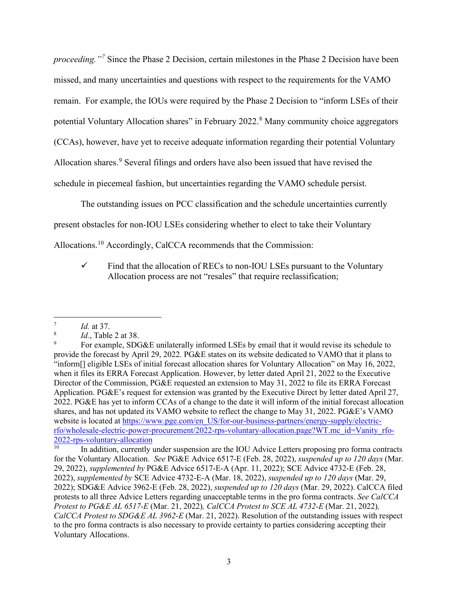*proceeding."[7](#page-6-0)* Since the Phase 2 Decision, certain milestones in the Phase 2 Decision have been missed, and many uncertainties and questions with respect to the requirements for the VAMO remain. For example, the IOUs were required by the Phase 2 Decision to "inform LSEs of their potential Voluntary Allocation shares" in February 2022.<sup>[8](#page-6-1)</sup> Many community choice aggregators (CCAs), however, have yet to receive adequate information regarding their potential Voluntary Allocation shares.<sup>[9](#page-6-2)</sup> Several filings and orders have also been issued that have revised the schedule in piecemeal fashion, but uncertainties regarding the VAMO schedule persist.

The outstanding issues on PCC classification and the schedule uncertainties currently

present obstacles for non-IOU LSEs considering whether to elect to take their Voluntary

Allocations. [10](#page-6-3) Accordingly, CalCCA recommends that the Commission:

 $\checkmark$  Find that the allocation of RECs to non-IOU LSEs pursuant to the Voluntary Allocation process are not "resales" that require reclassification;

<span id="page-6-0"></span><sup>7</sup> *Id.* at 37.

<span id="page-6-1"></span><sup>8</sup> *Id.*, Table 2 at 38.

<span id="page-6-2"></span><sup>9</sup> For example, SDG&E unilaterally informed LSEs by email that it would revise its schedule to provide the forecast by April 29, 2022. PG&E states on its website dedicated to VAMO that it plans to "inform[] eligible LSEs of initial forecast allocation shares for Voluntary Allocation" on May 16, 2022, when it files its ERRA Forecast Application. However, by letter dated April 21, 2022 to the Executive Director of the Commission, PG&E requested an extension to May 31, 2022 to file its ERRA Forecast Application. PG&E's request for extension was granted by the Executive Direct by letter dated April 27, 2022. PG&E has yet to inform CCAs of a change to the date it will inform of the initial forecast allocation shares, and has not updated its VAMO website to reflect the change to May 31, 2022. PG&E's VAMO website is located a[t https://www.pge.com/en\\_US/for-our-business-partners/energy-supply/electric](https://www.pge.com/en_US/for-our-business-partners/energy-supply/electric-rfo/wholesale-electric-power-procurement/2022-rps-voluntary-allocation.page?WT.mc_id=Vanity_rfo-2022-rps-voluntary-allocation)[rfo/wholesale-electric-power-procurement/2022-rps-voluntary-allocation.page?WT.mc\\_id=Vanity\\_rfo-](https://www.pge.com/en_US/for-our-business-partners/energy-supply/electric-rfo/wholesale-electric-power-procurement/2022-rps-voluntary-allocation.page?WT.mc_id=Vanity_rfo-2022-rps-voluntary-allocation)[2022-rps-voluntary-allocation](https://www.pge.com/en_US/for-our-business-partners/energy-supply/electric-rfo/wholesale-electric-power-procurement/2022-rps-voluntary-allocation.page?WT.mc_id=Vanity_rfo-2022-rps-voluntary-allocation)

<span id="page-6-3"></span><sup>10</sup> In addition, currently under suspension are the IOU Advice Letters proposing pro forma contracts for the Voluntary Allocation. *See* PG&E Advice 6517-E (Feb. 28, 2022), *suspended up to 120 days* (Mar. 29, 2022), *supplemented by* PG&E Advice 6517-E-A (Apr. 11, 2022); SCE Advice 4732-E (Feb. 28, 2022), *supplemented by* SCE Advice 4732-E-A (Mar. 18, 2022), *suspended up to 120 days* (Mar. 29, 2022); SDG&E Advice 3962-E (Feb. 28, 2022), *suspended up to 120 days* (Mar. 29, 2022). CalCCA filed protests to all three Advice Letters regarding unacceptable terms in the pro forma contracts. *See CalCCA Protest to PG&E AL 6517-E* (Mar. 21, 2022)*, CalCCA Protest to SCE AL 4732-E* (Mar. 21, 2022)*, CalCCA Protest to SDG&E AL 3962-E* (Mar. 21, 2022). Resolution of the outstanding issues with respect to the pro forma contracts is also necessary to provide certainty to parties considering accepting their Voluntary Allocations.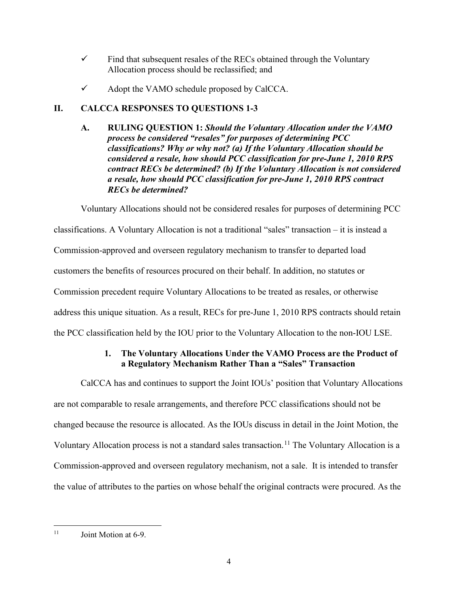- $\checkmark$  Find that subsequent resales of the RECs obtained through the Voluntary Allocation process should be reclassified; and
- $\checkmark$  Adopt the VAMO schedule proposed by CalCCA.

# <span id="page-7-1"></span><span id="page-7-0"></span>**II. CALCCA RESPONSES TO QUESTIONS 1-3**

**A. RULING QUESTION 1:** *Should the Voluntary Allocation under the VAMO process be considered "resales" for purposes of determining PCC classifications? Why or why not? (a) If the Voluntary Allocation should be considered a resale, how should PCC classification for pre-June 1, 2010 RPS contract RECs be determined? (b) If the Voluntary Allocation is not considered a resale, how should PCC classification for pre-June 1, 2010 RPS contract RECs be determined?*

 Voluntary Allocations should not be considered resales for purposes of determining PCC classifications. A Voluntary Allocation is not a traditional "sales" transaction – it is instead a Commission-approved and overseen regulatory mechanism to transfer to departed load customers the benefits of resources procured on their behalf. In addition, no statutes or Commission precedent require Voluntary Allocations to be treated as resales, or otherwise address this unique situation. As a result, RECs for pre-June 1, 2010 RPS contracts should retain the PCC classification held by the IOU prior to the Voluntary Allocation to the non-IOU LSE.

## **1. The Voluntary Allocations Under the VAMO Process are the Product of a Regulatory Mechanism Rather Than a "Sales" Transaction**

<span id="page-7-2"></span>CalCCA has and continues to support the Joint IOUs' position that Voluntary Allocations are not comparable to resale arrangements, and therefore PCC classifications should not be changed because the resource is allocated. As the IOUs discuss in detail in the Joint Motion, the Voluntary Allocation process is not a standard sales transaction.<sup>[11](#page-7-3)</sup> The Voluntary Allocation is a Commission-approved and overseen regulatory mechanism, not a sale. It is intended to transfer the value of attributes to the parties on whose behalf the original contracts were procured. As the

<span id="page-7-3"></span> $11$  Joint Motion at 6-9.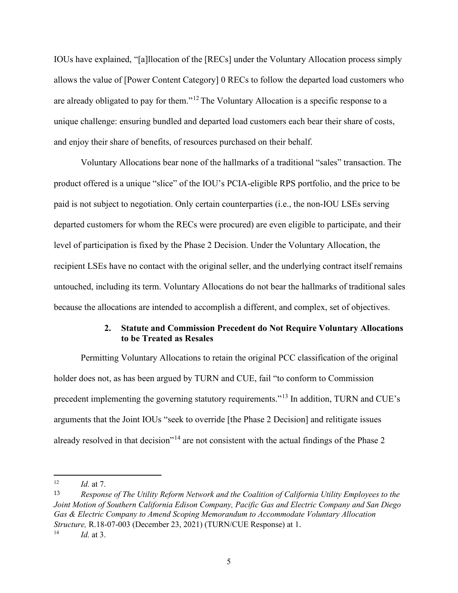IOUs have explained, "[a]llocation of the [RECs] under the Voluntary Allocation process simply allows the value of [Power Content Category] 0 RECs to follow the departed load customers who are already obligated to pay for them."[12](#page-8-1) The Voluntary Allocation is a specific response to a unique challenge: ensuring bundled and departed load customers each bear their share of costs, and enjoy their share of benefits, of resources purchased on their behalf.

Voluntary Allocations bear none of the hallmarks of a traditional "sales" transaction. The product offered is a unique "slice" of the IOU's PCIA-eligible RPS portfolio, and the price to be paid is not subject to negotiation. Only certain counterparties (i.e., the non-IOU LSEs serving departed customers for whom the RECs were procured) are even eligible to participate, and their level of participation is fixed by the Phase 2 Decision. Under the Voluntary Allocation, the recipient LSEs have no contact with the original seller, and the underlying contract itself remains untouched, including its term. Voluntary Allocations do not bear the hallmarks of traditional sales because the allocations are intended to accomplish a different, and complex, set of objectives.

#### **2. Statute and Commission Precedent do Not Require Voluntary Allocations to be Treated as Resales**

<span id="page-8-0"></span>Permitting Voluntary Allocations to retain the original PCC classification of the original holder does not, as has been argued by TURN and CUE, fail "to conform to Commission precedent implementing the governing statutory requirements."[13](#page-8-2) In addition, TURN and CUE's arguments that the Joint IOUs "seek to override [the Phase 2 Decision] and relitigate issues already resolved in that decision"<sup>[14](#page-8-3)</sup> are not consistent with the actual findings of the Phase 2

<span id="page-8-2"></span>13 *Response of The Utility Reform Network and the Coalition of California Utility Employees to the Joint Motion of Southern California Edison Company, Pacific Gas and Electric Company and San Diego Gas & Electric Company to Amend Scoping Memorandum to Accommodate Voluntary Allocation Structure,* R.18-07-003 (December 23, 2021) (TURN/CUE Response) at 1*.*

<span id="page-8-1"></span><sup>12</sup> *Id.* at 7.

<span id="page-8-3"></span><sup>14</sup> *Id.* at 3.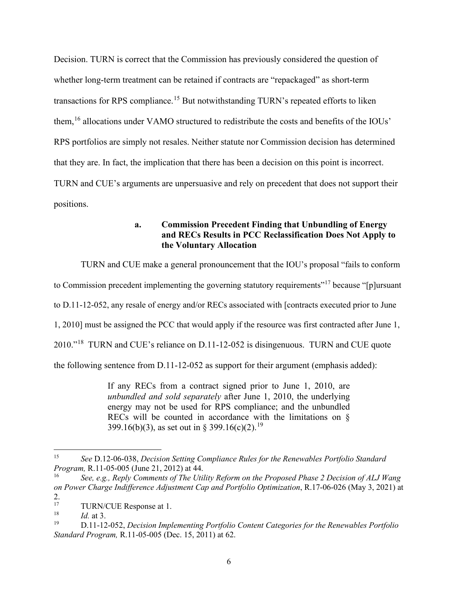Decision. TURN is correct that the Commission has previously considered the question of whether long-term treatment can be retained if contracts are "repackaged" as short-term transactions for RPS compliance.<sup>15</sup> But notwithstanding TURN's repeated efforts to liken them,<sup>16</sup> allocations under VAMO structured to redistribute the costs and benefits of the IOUs' RPS portfolios are simply not resales. Neither statute nor Commission decision has determined that they are. In fact, the implication that there has been a decision on this point is incorrect. TURN and CUE's arguments are unpersuasive and rely on precedent that does not support their positions.

### **a. Commission Precedent Finding that Unbundling of Energy and RECs Results in PCC Reclassification Does Not Apply to the Voluntary Allocation**

TURN and CUE make a general pronouncement that the IOU's proposal "fails to conform

to Commission precedent implementing the governing statutory requirements<sup>"[17](#page-9-2)</sup> because "[p]ursuant

to D.11-12-052, any resale of energy and/or RECs associated with [contracts executed prior to June

1, 2010] must be assigned the PCC that would apply if the resource was first contracted after June 1,

2010."[18](#page-9-3) TURN and CUE's reliance on D.11-12-052 is disingenuous. TURN and CUE quote

the following sentence from D.11-12-052 as support for their argument (emphasis added):

If any RECs from a contract signed prior to June 1, 2010, are *unbundled and sold separately* after June 1, 2010, the underlying energy may not be used for RPS compliance; and the unbundled RECs will be counted in accordance with the limitations on § 399.16(b)(3), as set out in § 399.16(c)(2).<sup>[19](#page-9-4)</sup>

<span id="page-9-0"></span><sup>15</sup> *See* D.12-06-038, *Decision Setting Compliance Rules for the Renewables Portfolio Standard Program,* R.11-05-005 (June 21, 2012) at 44.

<span id="page-9-1"></span><sup>16</sup> *See, e.g., Reply Comments of The Utility Reform on the Proposed Phase 2 Decision of ALJ Wang on Power Charge Indifference Adjustment Cap and Portfolio Optimization*, R.17-06-026 (May 3, 2021) at

<span id="page-9-2"></span> $\frac{2}{17}$ <sup>17</sup> TURN/CUE Response at 1.<br><sup>18</sup>  $Id$  at 3

<span id="page-9-3"></span> $\frac{18}{19}$  *Id.* at 3.

<span id="page-9-4"></span><sup>19</sup> D.11-12-052, *Decision Implementing Portfolio Content Categories for the Renewables Portfolio Standard Program,* R.11-05-005 (Dec. 15, 2011) at 62.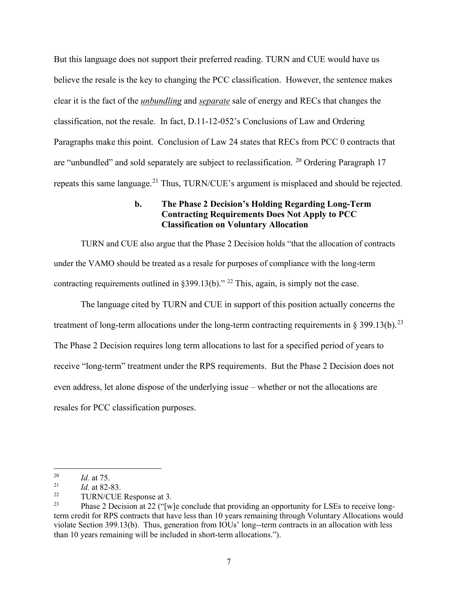But this language does not support their preferred reading. TURN and CUE would have us believe the resale is the key to changing the PCC classification. However, the sentence makes clear it is the fact of the *unbundling* and *separate* sale of energy and RECs that changes the classification, not the resale. In fact, D.11-12-052's Conclusions of Law and Ordering Paragraphs make this point. Conclusion of Law 24 states that RECs from PCC 0 contracts that are "unbundled" and sold separately are subject to reclassification.  $^{20}$  $^{20}$  $^{20}$  Ordering Paragraph 17 repeats this same language.<sup>[21](#page-10-1)</sup> Thus, TURN/CUE's argument is misplaced and should be rejected.

### **b. The Phase 2 Decision's Holding Regarding Long-Term Contracting Requirements Does Not Apply to PCC Classification on Voluntary Allocation**

TURN and CUE also argue that the Phase 2 Decision holds "that the allocation of contracts under the VAMO should be treated as a resale for purposes of compliance with the long-term contracting requirements outlined in §399.13(b)." <sup>[22](#page-10-2)</sup> This, again, is simply not the case.

The language cited by TURN and CUE in support of this position actually concerns the treatment of long-term allocations under the long-term contracting requirements in § 399.13(b).<sup>[23](#page-10-3)</sup> The Phase 2 Decision requires long term allocations to last for a specified period of years to receive "long-term" treatment under the RPS requirements. But the Phase 2 Decision does not even address, let alone dispose of the underlying issue – whether or not the allocations are resales for PCC classification purposes.

<span id="page-10-1"></span><span id="page-10-0"></span><sup>20</sup> *Id.* at 75.<br>
<sup>21</sup> *Id.* at 82-83.<br>
22 **TUPN/CUE** 

<span id="page-10-3"></span><span id="page-10-2"></span><sup>&</sup>lt;sup>22</sup> TURN/CUE Response at 3.<br><sup>23</sup> Phase 2 Decision at 22 ("[w]e conclude that providing an opportunity for LSEs to receive longterm credit for RPS contracts that have less than 10 years remaining through Voluntary Allocations would violate Section 399.13(b). Thus, generation from IOUs' long--term contracts in an allocation with less than 10 years remaining will be included in short-term allocations.").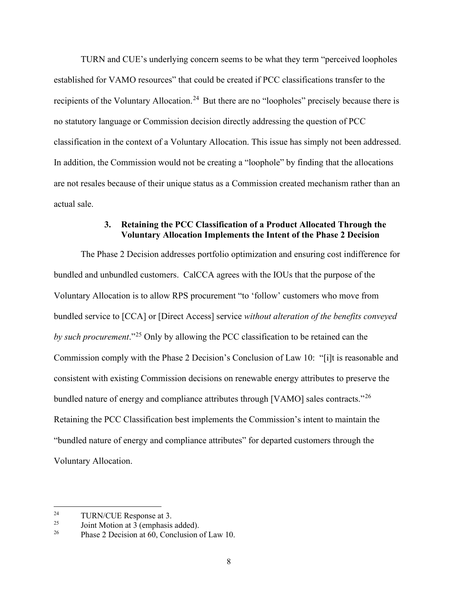TURN and CUE's underlying concern seems to be what they term "perceived loopholes established for VAMO resources" that could be created if PCC classifications transfer to the recipients of the Voluntary Allocation.<sup>[24](#page-11-1)</sup> But there are no "loopholes" precisely because there is no statutory language or Commission decision directly addressing the question of PCC classification in the context of a Voluntary Allocation. This issue has simply not been addressed. In addition, the Commission would not be creating a "loophole" by finding that the allocations are not resales because of their unique status as a Commission created mechanism rather than an actual sale.

#### **3. Retaining the PCC Classification of a Product Allocated Through the Voluntary Allocation Implements the Intent of the Phase 2 Decision**

<span id="page-11-0"></span>The Phase 2 Decision addresses portfolio optimization and ensuring cost indifference for bundled and unbundled customers. CalCCA agrees with the IOUs that the purpose of the Voluntary Allocation is to allow RPS procurement "to 'follow' customers who move from bundled service to [CCA] or [Direct Access] service *without alteration of the benefits conveyed by such procurement*."[25](#page-11-2) Only by allowing the PCC classification to be retained can the Commission comply with the Phase 2 Decision's Conclusion of Law 10: "[i]t is reasonable and consistent with existing Commission decisions on renewable energy attributes to preserve the bundled nature of energy and compliance attributes through [VAMO] sales contracts."<sup>[26](#page-11-3)</sup> Retaining the PCC Classification best implements the Commission's intent to maintain the "bundled nature of energy and compliance attributes" for departed customers through the Voluntary Allocation.

<span id="page-11-1"></span><sup>&</sup>lt;sup>24</sup> TURN/CUE Response at 3.<br> $\frac{25}{25}$  Leint Motion at 3 (omnhasis)

<span id="page-11-2"></span>Joint Motion at 3 (emphasis added).

<span id="page-11-3"></span><sup>&</sup>lt;sup>26</sup> Phase 2 Decision at 60, Conclusion of Law 10.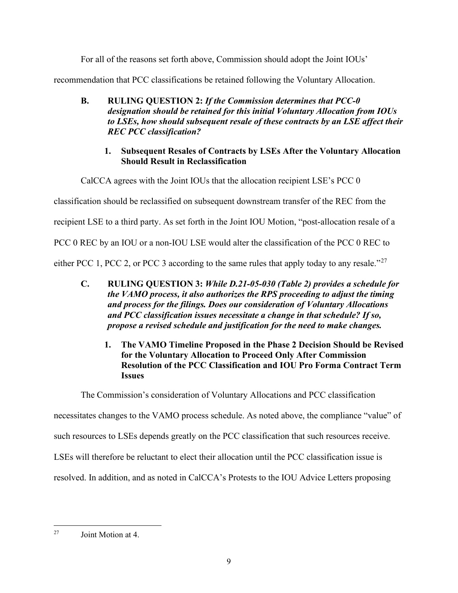For all of the reasons set forth above, Commission should adopt the Joint IOUs'

<span id="page-12-0"></span>recommendation that PCC classifications be retained following the Voluntary Allocation.

**B. RULING QUESTION 2:** *If the Commission determines that PCC-0 designation should be retained for this initial Voluntary Allocation from IOUs to LSEs, how should subsequent resale of these contracts by an LSE affect their REC PCC classification?*

### **1. Subsequent Resales of Contracts by LSEs After the Voluntary Allocation Should Result in Reclassification**

<span id="page-12-1"></span>CalCCA agrees with the Joint IOUs that the allocation recipient LSE's PCC 0

classification should be reclassified on subsequent downstream transfer of the REC from the

recipient LSE to a third party. As set forth in the Joint IOU Motion, "post-allocation resale of a

PCC 0 REC by an IOU or a non-IOU LSE would alter the classification of the PCC 0 REC to

<span id="page-12-2"></span>either PCC 1, PCC 2, or PCC 3 according to the same rules that apply today to any resale."<sup>[27](#page-12-4)</sup>

- **C. RULING QUESTION 3:** *While D.21-05-030 (Table 2) provides a schedule for the VAMO process, it also authorizes the RPS proceeding to adjust the timing and process for the filings. Does our consideration of Voluntary Allocations and PCC classification issues necessitate a change in that schedule? If so, propose a revised schedule and justification for the need to make changes.* 
	- **1. The VAMO Timeline Proposed in the Phase 2 Decision Should be Revised for the Voluntary Allocation to Proceed Only After Commission Resolution of the PCC Classification and IOU Pro Forma Contract Term Issues**

<span id="page-12-3"></span>The Commission's consideration of Voluntary Allocations and PCC classification

necessitates changes to the VAMO process schedule. As noted above, the compliance "value" of

such resources to LSEs depends greatly on the PCC classification that such resources receive.

LSEs will therefore be reluctant to elect their allocation until the PCC classification issue is

resolved. In addition, and as noted in CalCCA's Protests to the IOU Advice Letters proposing

<span id="page-12-4"></span><sup>27</sup> Joint Motion at 4.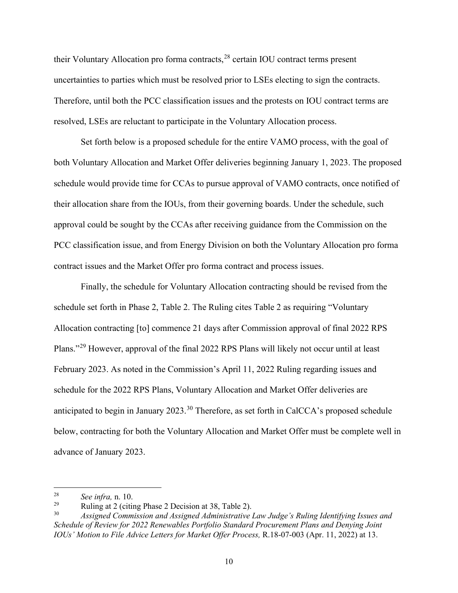their Voluntary Allocation pro forma contracts,[28](#page-13-0) certain IOU contract terms present uncertainties to parties which must be resolved prior to LSEs electing to sign the contracts. Therefore, until both the PCC classification issues and the protests on IOU contract terms are resolved, LSEs are reluctant to participate in the Voluntary Allocation process.

Set forth below is a proposed schedule for the entire VAMO process, with the goal of both Voluntary Allocation and Market Offer deliveries beginning January 1, 2023. The proposed schedule would provide time for CCAs to pursue approval of VAMO contracts, once notified of their allocation share from the IOUs, from their governing boards. Under the schedule, such approval could be sought by the CCAs after receiving guidance from the Commission on the PCC classification issue, and from Energy Division on both the Voluntary Allocation pro forma contract issues and the Market Offer pro forma contract and process issues.

Finally, the schedule for Voluntary Allocation contracting should be revised from the schedule set forth in Phase 2, Table 2. The Ruling cites Table 2 as requiring "Voluntary Allocation contracting [to] commence 21 days after Commission approval of final 2022 RPS Plans."[29](#page-13-1) However, approval of the final 2022 RPS Plans will likely not occur until at least February 2023. As noted in the Commission's April 11, 2022 Ruling regarding issues and schedule for the 2022 RPS Plans, Voluntary Allocation and Market Offer deliveries are anticipated to begin in January 2023.<sup>[30](#page-13-2)</sup> Therefore, as set forth in CalCCA's proposed schedule below, contracting for both the Voluntary Allocation and Market Offer must be complete well in advance of January 2023.

<span id="page-13-0"></span> $\frac{28}{29}$  *See infra, n.* 10.

<span id="page-13-1"></span> $\frac{29}{28}$  Ruling at 2 (citing Phase 2 Decision at 38, Table 2).

<span id="page-13-2"></span><sup>30</sup> *Assigned Commission and Assigned Administrative Law Judge's Ruling Identifying Issues and Schedule of Review for 2022 Renewables Portfolio Standard Procurement Plans and Denying Joint IOUs' Motion to File Advice Letters for Market Offer Process,* R.18-07-003 (Apr. 11, 2022) at 13.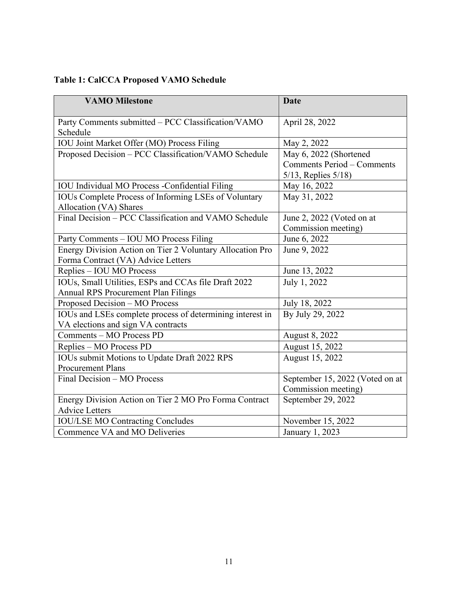# **Table 1: CalCCA Proposed VAMO Schedule**

| <b>VAMO Milestone</b>                                                                           | <b>Date</b>                                                                       |
|-------------------------------------------------------------------------------------------------|-----------------------------------------------------------------------------------|
| Party Comments submitted - PCC Classification/VAMO<br>Schedule                                  | April 28, 2022                                                                    |
| IOU Joint Market Offer (MO) Process Filing                                                      | May 2, 2022                                                                       |
| Proposed Decision - PCC Classification/VAMO Schedule                                            | May 6, 2022 (Shortened<br>Comments Period - Comments<br>$5/13$ , Replies $5/18$ ) |
| <b>IOU Individual MO Process - Confidential Filing</b>                                          | May 16, 2022                                                                      |
| IOUs Complete Process of Informing LSEs of Voluntary<br>Allocation (VA) Shares                  | May 31, 2022                                                                      |
| Final Decision - PCC Classification and VAMO Schedule                                           | June 2, 2022 (Voted on at<br>Commission meeting)                                  |
| Party Comments - IOU MO Process Filing                                                          | June 6, 2022                                                                      |
| Energy Division Action on Tier 2 Voluntary Allocation Pro<br>Forma Contract (VA) Advice Letters | June 9, 2022                                                                      |
| Replies - IOU MO Process                                                                        | June 13, 2022                                                                     |
| IOUs, Small Utilities, ESPs and CCAs file Draft 2022<br>Annual RPS Procurement Plan Filings     | July 1, 2022                                                                      |
| Proposed Decision - MO Process                                                                  | July 18, 2022                                                                     |
| IOUs and LSEs complete process of determining interest in<br>VA elections and sign VA contracts | By July 29, 2022                                                                  |
| <b>Comments - MO Process PD</b>                                                                 | August 8, 2022                                                                    |
| Replies - MO Process PD                                                                         | August 15, 2022                                                                   |
| IOUs submit Motions to Update Draft 2022 RPS<br><b>Procurement Plans</b>                        | August 15, 2022                                                                   |
| Final Decision - MO Process                                                                     | September 15, 2022 (Voted on at<br>Commission meeting)                            |
| Energy Division Action on Tier 2 MO Pro Forma Contract<br><b>Advice Letters</b>                 | September 29, 2022                                                                |
| <b>IOU/LSE MO Contracting Concludes</b>                                                         | November 15, 2022                                                                 |
| Commence VA and MO Deliveries                                                                   | January 1, 2023                                                                   |